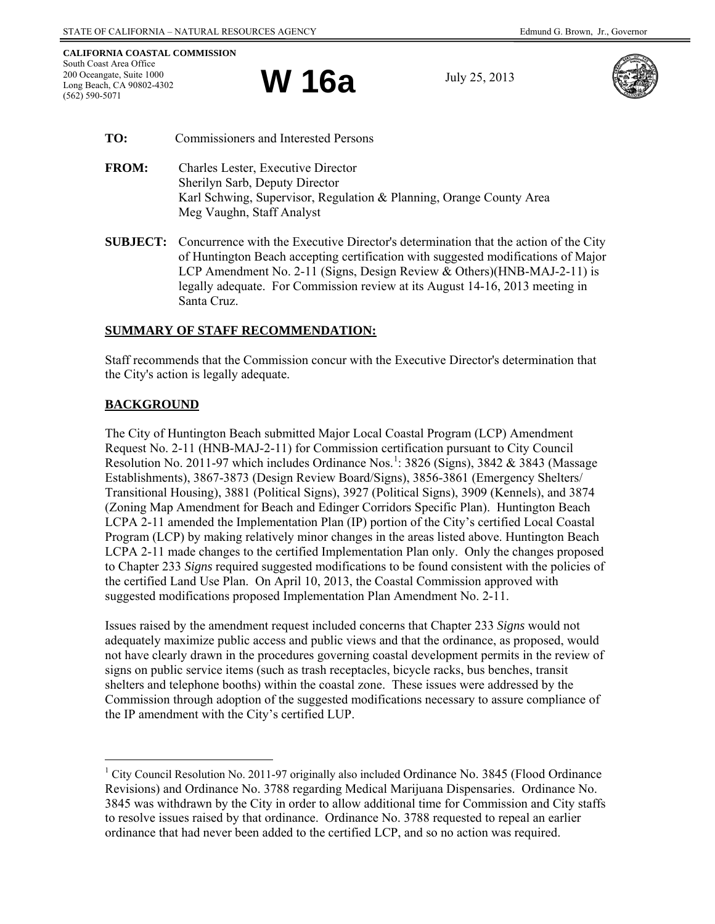**W 16a** July 25, 2013



- **TO:** Commissioners and Interested Persons
- **FROM:** Charles Lester, Executive Director Sherilyn Sarb, Deputy Director Karl Schwing, Supervisor, Regulation & Planning, Orange County Area Meg Vaughn, Staff Analyst
- **SUBJECT:** Concurrence with the Executive Director's determination that the action of the City of Huntington Beach accepting certification with suggested modifications of Major LCP Amendment No. 2-11 (Signs, Design Review & Others)(HNB-MAJ-2-11) is legally adequate. For Commission review at its August 14-16, 2013 meeting in Santa Cruz.

## **SUMMARY OF STAFF RECOMMENDATION:**

Staff recommends that the Commission concur with the Executive Director's determination that the City's action is legally adequate.

# **BACKGROUND**

The City of Huntington Beach submitted Major Local Coastal Program (LCP) Amendment Request No. 2-11 (HNB-MAJ-2-11) for Commission certification pursuant to City Council Resolution No. 20[1](#page-0-0)1-97 which includes Ordinance Nos.<sup>1</sup>: 3826 (Signs), 3842 & 3843 (Massage Establishments), 3867-3873 (Design Review Board/Signs), 3856-3861 (Emergency Shelters/ Transitional Housing), 3881 (Political Signs), 3927 (Political Signs), 3909 (Kennels), and 3874 (Zoning Map Amendment for Beach and Edinger Corridors Specific Plan). Huntington Beach LCPA 2-11 amended the Implementation Plan (IP) portion of the City's certified Local Coastal Program (LCP) by making relatively minor changes in the areas listed above. Huntington Beach LCPA 2-11 made changes to the certified Implementation Plan only. Only the changes proposed to Chapter 233 *Signs* required suggested modifications to be found consistent with the policies of the certified Land Use Plan. On April 10, 2013, the Coastal Commission approved with suggested modifications proposed Implementation Plan Amendment No. 2-11.

Issues raised by the amendment request included concerns that Chapter 233 *Signs* would not adequately maximize public access and public views and that the ordinance, as proposed, would not have clearly drawn in the procedures governing coastal development permits in the review of signs on public service items (such as trash receptacles, bicycle racks, bus benches, transit shelters and telephone booths) within the coastal zone. These issues were addressed by the Commission through adoption of the suggested modifications necessary to assure compliance of the IP amendment with the City's certified LUP.

<span id="page-0-0"></span> $\overline{a}$ <sup>1</sup> City Council Resolution No. 2011-97 originally also included Ordinance No. 3845 (Flood Ordinance Revisions) and Ordinance No. 3788 regarding Medical Marijuana Dispensaries. Ordinance No. 3845 was withdrawn by the City in order to allow additional time for Commission and City staffs to resolve issues raised by that ordinance. Ordinance No. 3788 requested to repeal an earlier ordinance that had never been added to the certified LCP, and so no action was required.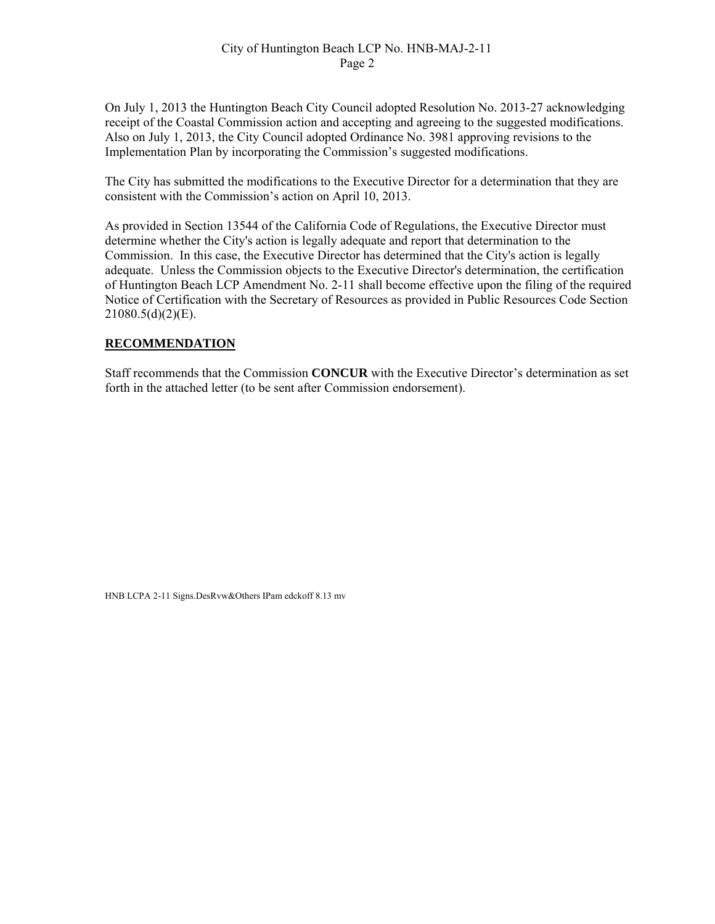### City of Huntington Beach LCP No. HNB-MAJ-2-11 Page 2

On July 1, 2013 the Huntington Beach City Council adopted Resolution No. 2013-27 acknowledging receipt of the Coastal Commission action and accepting and agreeing to the suggested modifications. Also on July 1, 2013, the City Council adopted Ordinance No. 3981 approving revisions to the Implementation Plan by incorporating the Commission's suggested modifications.

The City has submitted the modifications to the Executive Director for a determination that they are consistent with the Commission's action on April 10, 2013.

As provided in Section 13544 of the California Code of Regulations, the Executive Director must determine whether the City's action is legally adequate and report that determination to the Commission. In this case, the Executive Director has determined that the City's action is legally adequate. Unless the Commission objects to the Executive Director's determination, the certification of Huntington Beach LCP Amendment No. 2-11 shall become effective upon the filing of the required Notice of Certification with the Secretary of Resources as provided in Public Resources Code Section 21080.5(d)(2)(E).

### **RECOMMENDATION**

Staff recommends that the Commission **CONCUR** with the Executive Director's determination as set forth in the attached letter (to be sent after Commission endorsement).

HNB LCPA 2-11 Signs.DesRvw&Others IPam edckoff 8.13 mv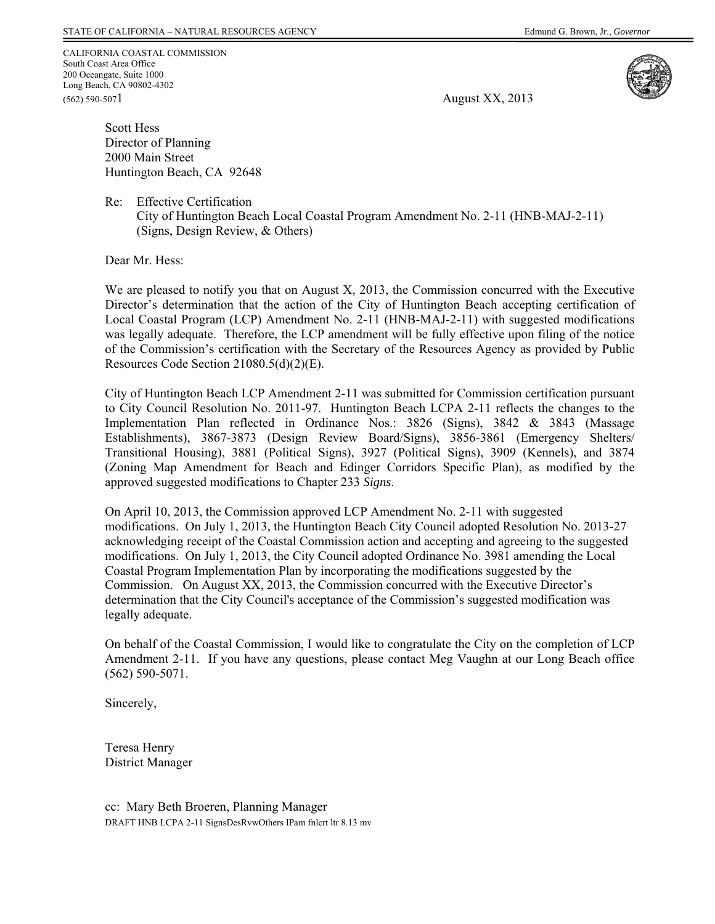CALIFORNIA COASTAL COMMISSION South Coast Area Office 200 Oceangate, Suite 1000 Long Beach, CA 90802-4302 (562) 590-5071

August XX, 2013



Scott Hess Director of Planning 2000 Main Street Huntington Beach, CA 92648

Re: Effective Certification

City of Huntington Beach Local Coastal Program Amendment No. 2-11 (HNB-MAJ-2-11) (Signs, Design Review, & Others)

Dear Mr. Hess:

We are pleased to notify you that on August X, 2013, the Commission concurred with the Executive Director's determination that the action of the City of Huntington Beach accepting certification of Local Coastal Program (LCP) Amendment No. 2-11 (HNB-MAJ-2-11) with suggested modifications was legally adequate. Therefore, the LCP amendment will be fully effective upon filing of the notice of the Commission's certification with the Secretary of the Resources Agency as provided by Public Resources Code Section 21080.5(d)(2)(E).

City of Huntington Beach LCP Amendment 2-11 was submitted for Commission certification pursuant to City Council Resolution No. 2011-97. Huntington Beach LCPA 2-11 reflects the changes to the Implementation Plan reflected in Ordinance Nos.: 3826 (Signs), 3842 & 3843 (Massage Establishments), 3867-3873 (Design Review Board/Signs), 3856-3861 (Emergency Shelters/ Transitional Housing), 3881 (Political Signs), 3927 (Political Signs), 3909 (Kennels), and 3874 (Zoning Map Amendment for Beach and Edinger Corridors Specific Plan), as modified by the approved suggested modifications to Chapter 233 *Signs*.

On April 10, 2013, the Commission approved LCP Amendment No. 2-11 with suggested modifications. On July 1, 2013, the Huntington Beach City Council adopted Resolution No. 2013-27 acknowledging receipt of the Coastal Commission action and accepting and agreeing to the suggested modifications. On July 1, 2013, the City Council adopted Ordinance No. 3981 amending the Local Coastal Program Implementation Plan by incorporating the modifications suggested by the Commission. On August XX, 2013, the Commission concurred with the Executive Director's determination that the City Council's acceptance of the Commission's suggested modification was legally adequate.

On behalf of the Coastal Commission, I would like to congratulate the City on the completion of LCP Amendment 2-11. If you have any questions, please contact Meg Vaughn at our Long Beach office (562) 590-5071.

Sincerely,

Teresa Henry District Manager

cc: Mary Beth Broeren, Planning Manager DRAFT HNB LCPA 2-11 SignsDesRvwOthers IPam fnlcrt ltr 8.13 mv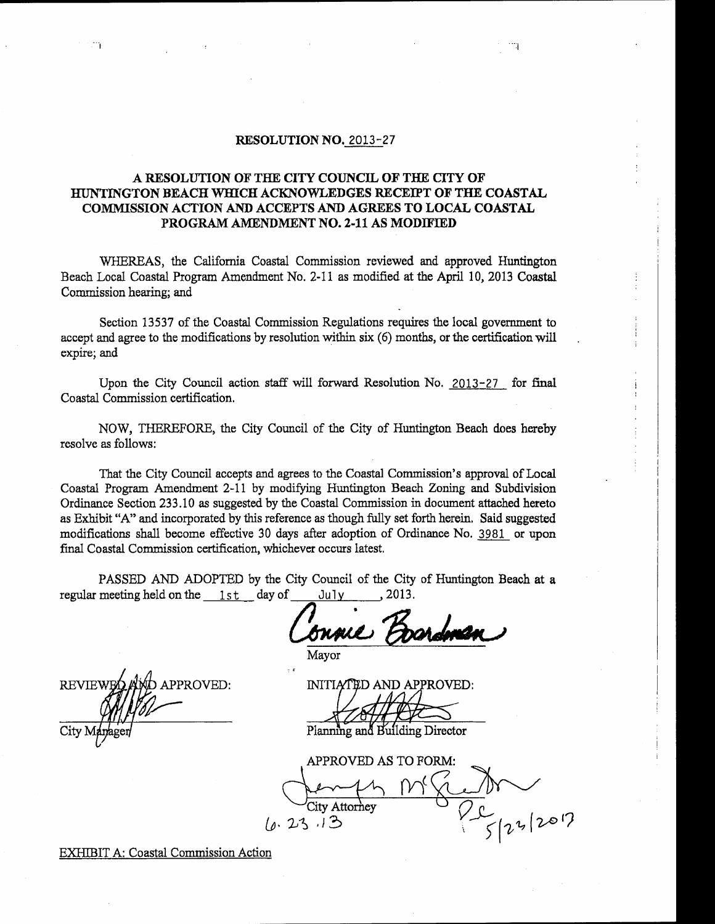#### RESOLUTION NO. 2013-27

### A RESOLUTION OF THE CITY COUNCIL OF THE CITY OF HUNTINGTON BEACH WHICH ACKNOWLEDGES RECEIPT OF THE COASTAL COMMISSION ACTION AND ACCEPTS AND AGREES TO LOCAL COASTAL PROGRAM AMENDMENT NO. 2-11 AS MODIFIED

WHEREAS, the California Coastal Commission reviewed and approved Huntington Beach Local Coastal Program Amendment No. 2-11 as modified at the April 10, 2013 Coastal Commission hearing; and

Section 13537 of the Coastal Commission Regulations requires the local government to accept and agree to the modifications by resolution within six (6) months, or the certification will expire; and

Upon the City Council action staff will forward Resolution No. 2013-27 for final Coastal Commission certification.

NOW, THEREFORE, the City Council of the City of Huntington Beach does hereby resolve as follows:

That the City Council accepts and agrees to the Coastal Commission's approval of Local Coastal Program Amendment 2-11 by modifying Huntington Beach Zoning and Subdivision Ordinance Section 233.10 as suggested by the Coastal Commission in document attached hereto as Exhibit "A" and incorporated by this reference as though fully set forth herein. Said suggested modifications shall become effective 30 days after adoption of Ordinance No. 3981 or upon final Coastal Commission certification, whichever occurs latest.

PASSED AND ADOPTED by the City Council of the City of Huntington Beach at a regular meeting held on the 1st day of  $J$ u $I$ v 2013.

APPROVED: **REVIEW** 

Mayor

INITIATED AND APPROVED:

Planning and Building Director

APPROVED AS TO FORM: City Attorney 23.13

EXHIBIT A: Coastal Commission Action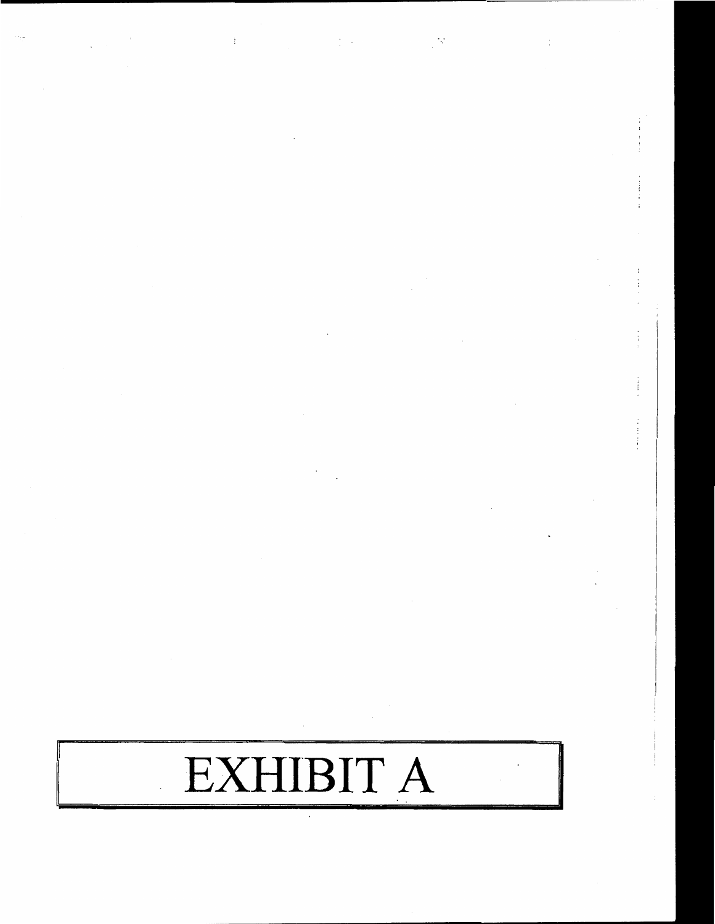# EXHIBIT A

 $\frac{1}{2}$ 

 $\overline{\phantom{a}}$ 

 $\frac{1}{2}$  .

 $\mathfrak i$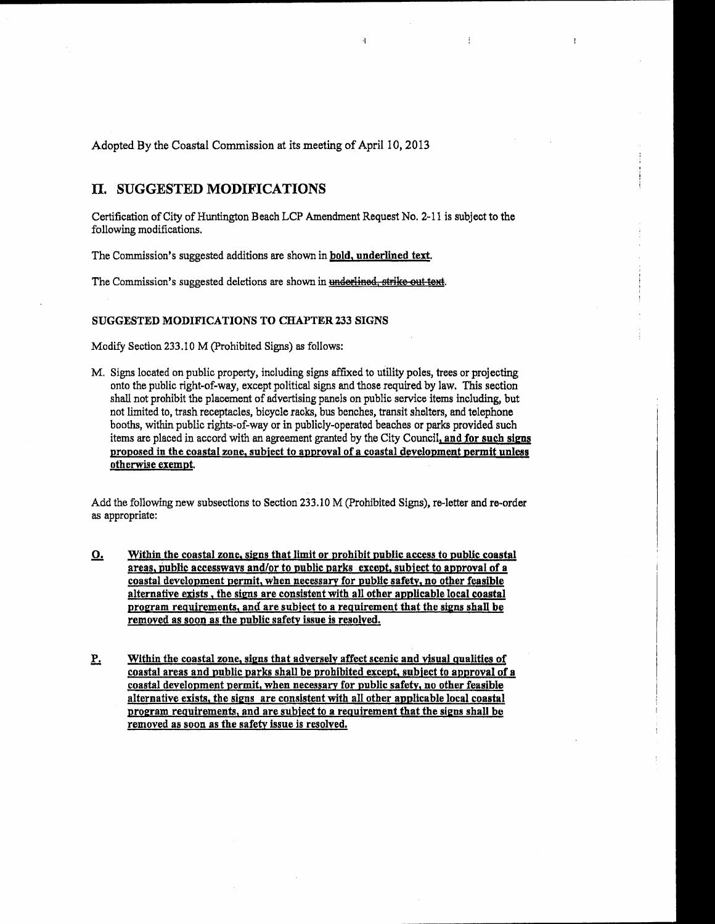Adopted By the Coastal Commission at its meeting of April 10, 2013

#### II. SUGGESTED MODIFICATIONS

Certification of City of Huntington Beach LCP Amendment Request No. 2-11 is subject to the following modifications.

À.

 $\frac{1}{2}$ 

 $\mathbf{I}$ 

The Commission's suggested additions are shown in bold, underlined text.

The Commission's suggested deletions are shown in underlined, strike out text.

#### SUGGESTED MODIFICATIONS TO CHAPTER 233 SIGNS

Modify Section 233.10 M (Prohibited Signs) as follows:

M. Signs located on public property, including signs affixed to utility poles, trees or projecting onto the public right-of-way, except political signs and those required by law. This section shall not prohibit the placement of advertising panels on public service items including, but not limited to, trash receptacles, bicycle racks, bus benches, transit shelters, and telephone booths, within public rights-of-way or in publicly-operated beaches or parks provided such items are placed in accord with an agreement granted by the City Council, and for such signs proposed in the coastal zone, subject to approval of a coastal development permit unless otherwise exempt.

Add the following new subsections to Section 233.10 M (Prohibited Signs), re-letter and re-order as appropriate:

- Within the coastal zone, signs that limit or prohibit public access to public coastal <u>o.</u> areas, public accessways and/or to public parks except, subject to approval of a coastal development permit, when necessary for public safety, no other feasible alternative exists, the signs are consistent with all other applicable local coastal program requirements, and are subject to a requirement that the signs shall be removed as soon as the public safety issue is resolved.
- $\mathbf{P}_{\cdot}$ Within the coastal zone, signs that adversely affect scenic and visual qualities of coastal areas and public parks shall be prohibited except, subject to approval of a coastal development permit, when necessary for public safety, no other feasible alternative exists, the signs are consistent with all other applicable local coastal program requirements, and are subject to a requirement that the signs shall be removed as soon as the safety issue is resolved.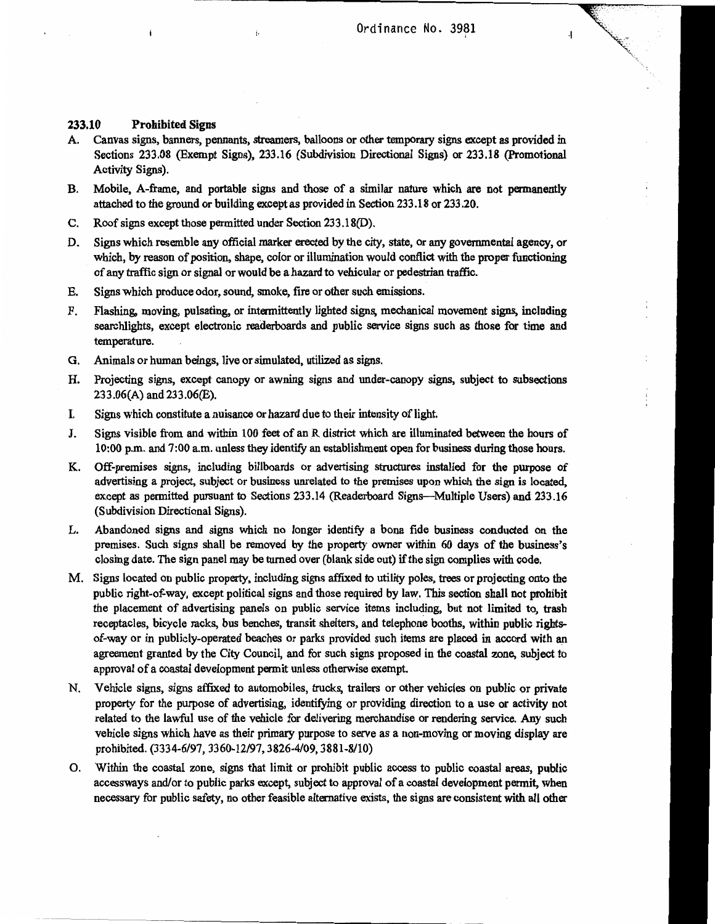$\overline{\mathcal{A}}$ 

#### 233.10 **Prohibited Signs**

- A. Canvas signs, banners, pennants, streamers, balloons or other temporary signs except as provided in Sections 233.08 (Exempt Signs), 233.16 (Subdivision Directional Signs) or 233.18 (Promotional Activity Signs).
- **B.** Mobile, A-frame, and portable signs and those of a similar nature which are not permanently attached to the ground or building except as provided in Section 233.18 or 233.20.
- C. Roof signs except those permitted under Section 233.18(D).
- Signs which resemble any official marker erected by the city, state, or any governmental agency, or D. which, by reason of position, shape, color or illumination would conflict with the proper functioning of any traffic sign or signal or would be a hazard to vehicular or pedestrian traffic.
- Signs which produce odor, sound, smoke, fire or other such emissions. E.
- Flashing, moving, pulsating, or intermittently lighted signs, mechanical movement signs, including F. searchlights, except electronic readerboards and public service signs such as those for time and temperature.
- Animals or human beings, live or simulated, utilized as signs. G.
- Projecting signs, except canopy or awning signs and under-canopy signs, subject to subsections Н. 233.06(A) and 233.06(E).
- L Signs which constitute a nuisance or hazard due to their intensity of light.
- Signs visible from and within 100 feet of an R district which are illuminated between the hours of  $\mathbf{J}$ . 10:00 p.m. and 7:00 a.m. unless they identify an establishment open for business during those hours.
- Off-premises signs, including billboards or advertising structures installed for the purpose of K. advertising a project, subject or business unrelated to the premises upon which the sign is located, except as permitted pursuant to Sections 233.14 (Readerboard Signs—Multiple Users) and 233.16 (Subdivision Directional Signs).
- L. Abandoned signs and signs which no longer identify a bona fide business conducted on the premises. Such signs shall be removed by the property owner within 60 days of the business's closing date. The sign panel may be turned over (blank side out) if the sign complies with code.
- M. Signs located on public property, including signs affixed to utility poles, trees or projecting onto the public right-of-way, except political signs and those required by law. This section shall not prohibit the placement of advertising panels on public service items including, but not limited to, trash receptacles, bicycle racks, bus benches, transit shelters, and telephone booths, within public rightsof-way or in publicly-operated beaches or parks provided such items are placed in accord with an agreement granted by the City Council, and for such signs proposed in the coastal zone, subject to approval of a coastal development permit unless otherwise exempt.
- N. Vehicle signs, signs affixed to automobiles, trucks, trailers or other vehicles on public or private property for the purpose of advertising, identifying or providing direction to a use or activity not related to the lawful use of the vehicle for delivering merchandise or rendering service. Any such vehicle signs which have as their primary purpose to serve as a non-moving or moving display are prohibited. (3334-6/97, 3360-12/97, 3826-4/09, 3881-8/10)
- O. Within the coastal zone, signs that limit or prohibit public access to public coastal areas, public accessways and/or to public parks except, subject to approval of a coastal development permit, when necessary for public safety, no other feasible alternative exists, the signs are consistent with all other